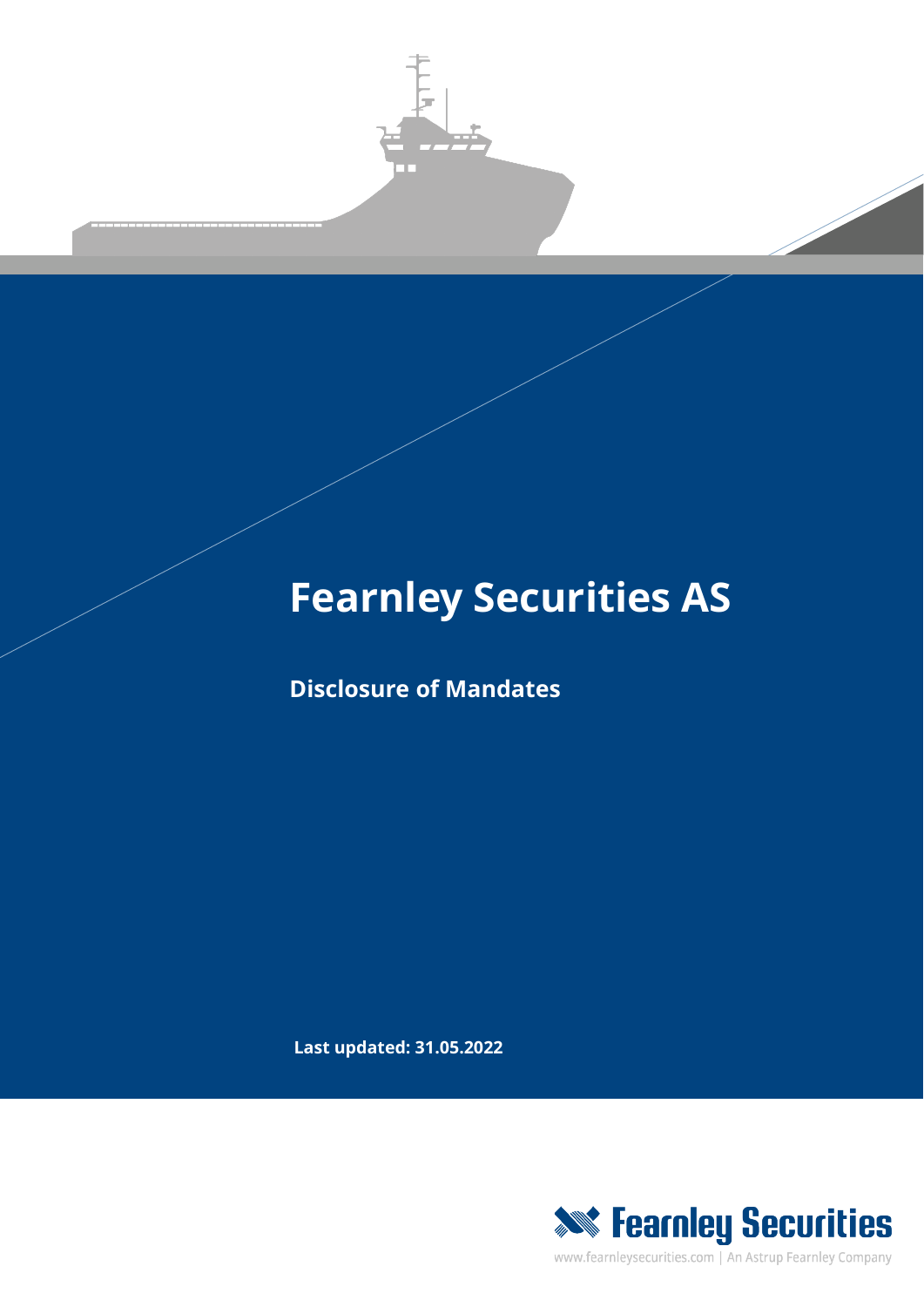

## **Fearnley Securities AS**

**Disclosure of Mandates**

**Last updated: 31.05.2022**



www.fearnleysecurities.com | An Astrup Fearnley Company